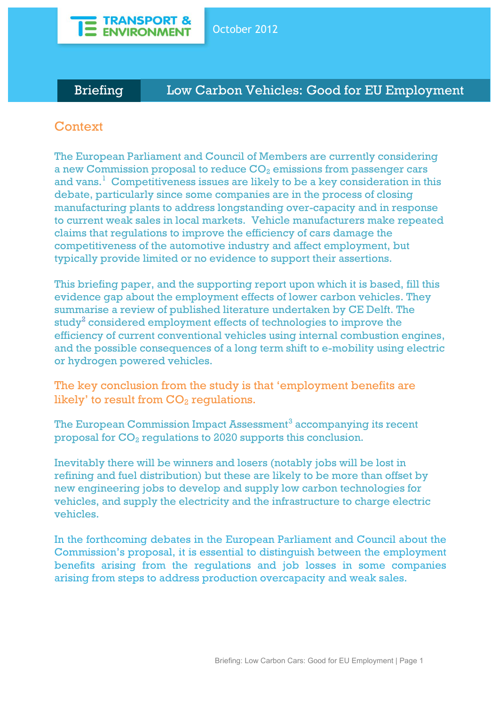

# Briefing Low Carbon Vehicles: Good for EU Employment

# **Context**

The European Parliament and Council of Members are currently considering a new Commission proposal to reduce  $CO<sub>2</sub>$  emissions from passenger cars and vans.<sup>1</sup> Competitiveness issues are likely to be a key consideration in this debate, particularly since some companies are in the process of closing manufacturing plants to address longstanding over-capacity and in response to current weak sales in local markets. Vehicle manufacturers make repeated claims that regulations to improve the efficiency of cars damage the competitiveness of the automotive industry and affect employment, but typically provide limited or no evidence to support their assertions.

This briefing paper, and the supporting report upon which it is based, fill this evidence gap about the employment effects of lower carbon vehicles. They summarise a review of published literature undertaken by CE Delft. The study<sup>2</sup> considered employment effects of technologies to improve the efficiency of current conventional vehicles using internal combustion engines, and the possible consequences of a long term shift to e-mobility using electric or hydrogen powered vehicles.

The key conclusion from the study is that 'employment benefits are likely' to result from  $CO<sub>2</sub>$  regulations.

The European Commission Impact Assessment<sup>3</sup> accompanying its recent proposal for  $CO<sub>2</sub>$  regulations to 2020 supports this conclusion.

Inevitably there will be winners and losers (notably jobs will be lost in refining and fuel distribution) but these are likely to be more than offset by new engineering jobs to develop and supply low carbon technologies for vehicles, and supply the electricity and the infrastructure to charge electric vehicles.

In the forthcoming debates in the European Parliament and Council about the Commission's proposal, it is essential to distinguish between the employment benefits arising from the regulations and job losses in some companies arising from steps to address production overcapacity and weak sales.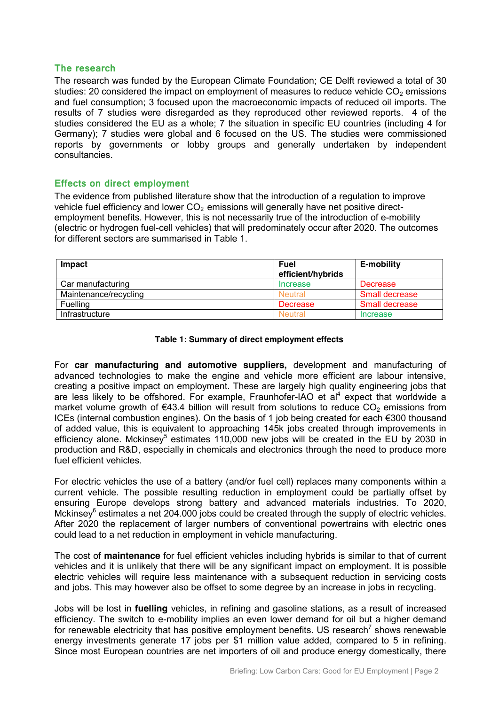### **The research**

The research was funded by the European Climate Foundation; CE Delft reviewed a total of 30 studies: 20 considered the impact on employment of measures to reduce vehicle  $CO<sub>2</sub>$  emissions and fuel consumption; 3 focused upon the macroeconomic impacts of reduced oil imports. The results of 7 studies were disregarded as they reproduced other reviewed reports. 4 of the studies considered the EU as a whole; 7 the situation in specific EU countries (including 4 for Germany); 7 studies were global and 6 focused on the US. The studies were commissioned reports by governments or lobby groups and generally undertaken by independent consultancies.

## **Effects on direct employment**

The evidence from published literature show that the introduction of a regulation to improve vehicle fuel efficiency and lower  $CO<sub>2</sub>$  emissions will generally have net positive directemployment benefits. However, this is not necessarily true of the introduction of e-mobility (electric or hydrogen fuel-cell vehicles) that will predominately occur after 2020. The outcomes for different sectors are summarised in Table 1.

| Impact                | <b>Fuel</b><br>efficient/hybrids | <b>E-mobility</b>     |
|-----------------------|----------------------------------|-----------------------|
| Car manufacturing     | Increase                         | Decrease              |
| Maintenance/recycling | <b>Neutral</b>                   | Small decrease        |
| <b>Fuelling</b>       | Decrease                         | <b>Small decrease</b> |
| <b>Infrastructure</b> | <b>Neutral</b>                   | Increase              |

#### **Table 1: Summary of direct employment effects**

For **car manufacturing and automotive suppliers,** development and manufacturing of advanced technologies to make the engine and vehicle more efficient are labour intensive, creating a positive impact on employment. These are largely high quality engineering jobs that are less likely to be offshored. For example, Fraunhofer-IAO et al<sup>4</sup> expect that worldwide a market volume growth of  $\epsilon$ 43.4 billion will result from solutions to reduce CO<sub>2</sub> emissions from ICEs (internal combustion engines). On the basis of 1 job being created for each €300 thousand of added value, this is equivalent to approaching 145k jobs created through improvements in efficiency alone. Mckinsey<sup>5</sup> estimates 110,000 new jobs will be created in the EU by 2030 in production and R&D, especially in chemicals and electronics through the need to produce more fuel efficient vehicles.

For electric vehicles the use of a battery (and/or fuel cell) replaces many components within a current vehicle. The possible resulting reduction in employment could be partially offset by ensuring Europe develops strong battery and advanced materials industries. To 2020, Mckinsey $6$  estimates a net 204.000 jobs could be created through the supply of electric vehicles. After 2020 the replacement of larger numbers of conventional powertrains with electric ones could lead to a net reduction in employment in vehicle manufacturing.

The cost of **maintenance** for fuel efficient vehicles including hybrids is similar to that of current vehicles and it is unlikely that there will be any significant impact on employment. It is possible electric vehicles will require less maintenance with a subsequent reduction in servicing costs and jobs. This may however also be offset to some degree by an increase in jobs in recycling.

Jobs will be lost in **fuelling** vehicles, in refining and gasoline stations, as a result of increased efficiency. The switch to e-mobility implies an even lower demand for oil but a higher demand for renewable electricity that has positive employment benefits. US research<sup>7</sup> shows renewable energy investments generate 17 jobs per \$1 million value added, compared to 5 in refining. Since most European countries are net importers of oil and produce energy domestically, there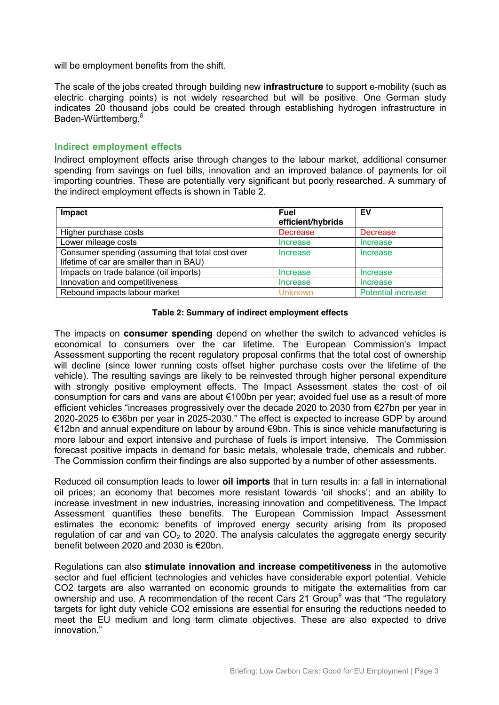will be employment benefits from the shift.

The scale of the jobs created through building new **infrastructure** to support e-mobility (such as electric charging points) is not widely researched but will be positive. One German study indicates 20 thousand jobs could be created through establishing hydrogen infrastructure in Baden-Württemberg.8

### **Indirect employment effects**

Indirect employment effects arise through changes to the labour market, additional consumer spending from savings on fuel bills, innovation and an improved balance of payments for oil importing countries. These are potentially very significant but poorly researched. A summary of the indirect employment effects is shown in Table 2.

| Impact                                           | <b>Fuel</b>       | EV                        |
|--------------------------------------------------|-------------------|---------------------------|
|                                                  | efficient/hybrids |                           |
| Higher purchase costs                            | <b>Decrease</b>   | Decrease                  |
| Lower mileage costs                              | Increase          | Increase                  |
| Consumer spending (assuming that total cost over | Increase          | Increase                  |
| lifetime of car are smaller than in BAU)         |                   |                           |
| Impacts on trade balance (oil imports)           | Increase          | Increase                  |
| Innovation and competitiveness                   | <b>Increase</b>   | Increase                  |
| Rebound impacts labour market                    | Unknown           | <b>Potential increase</b> |

#### **Table 2: Summary of indirect employment effects**

The impacts on **consumer spending** depend on whether the switch to advanced vehicles is economical to consumers over the car lifetime. The European Commission's Impact Assessment supporting the recent regulatory proposal confirms that the total cost of ownership will decline (since lower running costs offset higher purchase costs over the lifetime of the vehicle). The resulting savings are likely to be reinvested through higher personal expenditure with strongly positive employment effects. The Impact Assessment states the cost of oil consumption for cars and vans are about €100bn per year; avoided fuel use as a result of more efficient vehicles "increases progressively over the decade 2020 to 2030 from €27bn per year in 2020-2025 to €36bn per year in 2025-2030." The effect is expected to increase GDP by around €12bn and annual expenditure on labour by around €9bn. This is since vehicle manufacturing is more labour and export intensive and purchase of fuels is import intensive. The Commission forecast positive impacts in demand for basic metals, wholesale trade, chemicals and rubber. The Commission confirm their findings are also supported by a number of other assessments.

Reduced oil consumption leads to lower **oil imports** that in turn results in: a fall in international oil prices; an economy that becomes more resistant towards 'oil shocks'; and an ability to increase investment in new industries, increasing innovation and competitiveness. The Impact Assessment quantifies these benefits. The European Commission Impact Assessment estimates the economic benefits of improved energy security arising from its proposed regulation of car and van  $CO<sub>2</sub>$  to 2020. The analysis calculates the aggregate energy security benefit between 2020 and 2030 is €20bn.

Regulations can also **stimulate innovation and increase competitiveness** in the automotive sector and fuel efficient technologies and vehicles have considerable export potential. Vehicle CO2 targets are also warranted on economic grounds to mitigate the externalities from car ownership and use. A recommendation of the recent Cars 21 Group<sup>9</sup> was that "The regulatory targets for light duty vehicle CO2 emissions are essential for ensuring the reductions needed to meet the EU medium and long term climate objectives. These are also expected to drive innovation<sup>"</sup>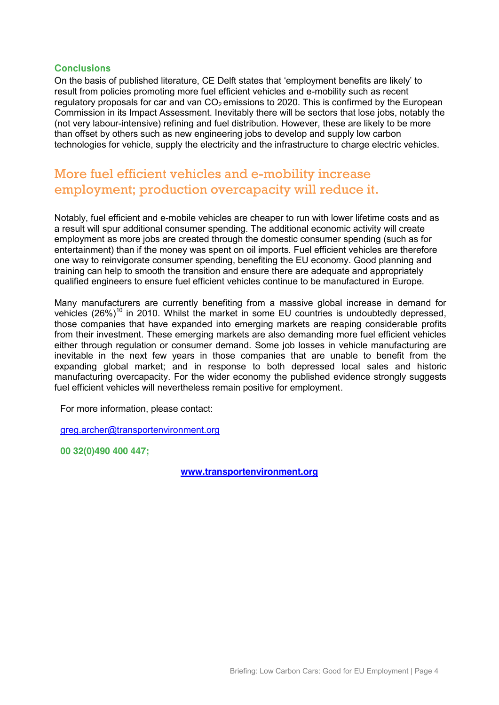## **Conclusions**

On the basis of published literature, CE Delft states that 'employment benefits are likely' to result from policies promoting more fuel efficient vehicles and e-mobility such as recent regulatory proposals for car and van  $CO<sub>2</sub>$  emissions to 2020. This is confirmed by the European Commission in its Impact Assessment. Inevitably there will be sectors that lose jobs, notably the (not very labour-intensive) refining and fuel distribution. However, these are likely to be more than offset by others such as new engineering jobs to develop and supply low carbon technologies for vehicle, supply the electricity and the infrastructure to charge electric vehicles.

## More fuel efficient vehicles and e-mobility increase employment; production overcapacity will reduce it.

Notably, fuel efficient and e-mobile vehicles are cheaper to run with lower lifetime costs and as a result will spur additional consumer spending. The additional economic activity will create employment as more jobs are created through the domestic consumer spending (such as for entertainment) than if the money was spent on oil imports. Fuel efficient vehicles are therefore one way to reinvigorate consumer spending, benefiting the EU economy. Good planning and training can help to smooth the transition and ensure there are adequate and appropriately qualified engineers to ensure fuel efficient vehicles continue to be manufactured in Europe.

Many manufacturers are currently benefiting from a massive global increase in demand for vehicles  $(26\%)^{10}$  in 2010. Whilst the market in some EU countries is undoubtedly depressed, those companies that have expanded into emerging markets are reaping considerable profits from their investment. These emerging markets are also demanding more fuel efficient vehicles either through regulation or consumer demand. Some job losses in vehicle manufacturing are inevitable in the next few years in those companies that are unable to benefit from the expanding global market; and in response to both depressed local sales and historic manufacturing overcapacity. For the wider economy the published evidence strongly suggests fuel efficient vehicles will nevertheless remain positive for employment.

For more information, please contact:

[greg.archer@transportenvironment.org](mailto:greg.archer@transportenvironment.org)

**00 32(0)490 400 447;** 

**[www.transportenvironment.org](http://www.transportenvironment.org/)**